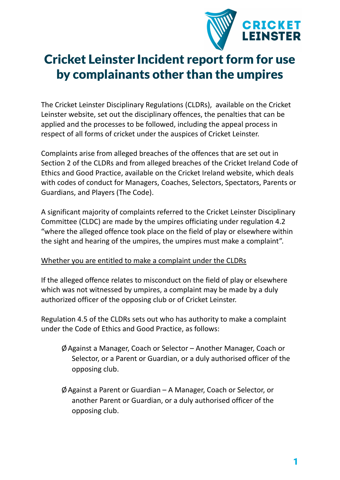

# Cricket Leinster Incident report form for use by complainants other than the umpires

The Cricket Leinster Disciplinary Regulations (CLDRs), available on the Cricket Leinster website, set out the disciplinary offences, the penalties that can be applied and the processes to be followed, including the appeal process in respect of all forms of cricket under the auspices of Cricket Leinster.

Complaints arise from alleged breaches of the offences that are set out in Section 2 of the CLDRs and from alleged breaches of the Cricket Ireland Code of Ethics and Good Practice, available on the Cricket Ireland website, which deals with codes of conduct for Managers, Coaches, Selectors, Spectators, Parents or Guardians, and Players (The Code).

A significant majority of complaints referred to the Cricket Leinster Disciplinary Committee (CLDC) are made by the umpires officiating under regulation 4.2 "where the alleged offence took place on the field of play or elsewhere within the sight and hearing of the umpires, the umpires must make a complaint".

#### Whether you are entitled to make a complaint under the CLDRs

If the alleged offence relates to misconduct on the field of play or elsewhere which was not witnessed by umpires, a complaint may be made by a duly authorized officer of the opposing club or of Cricket Leinster.

Regulation 4.5 of the CLDRs sets out who has authority to make a complaint under the Code of Ethics and Good Practice, as follows:

- ØAgainst a Manager, Coach or Selector Another Manager, Coach or Selector, or a Parent or Guardian, or a duly authorised officer of the opposing club.
- ØAgainst a Parent or Guardian A Manager, Coach or Selector, or another Parent or Guardian, or a duly authorised officer of the opposing club.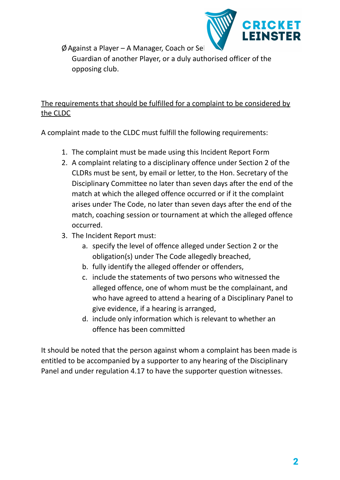

 $\emptyset$  Against a Player – A Manager, Coach or Sel

Guardian of another Player, or a duly authorised officer of the opposing club.

### The requirements that should be fulfilled for a complaint to be considered by the CLDC

A complaint made to the CLDC must fulfill the following requirements:

- 1. The complaint must be made using this Incident Report Form
- 2. A complaint relating to a disciplinary offence under Section 2 of the CLDRs must be sent, by email or letter, to the Hon. Secretary of the Disciplinary Committee no later than seven days after the end of the match at which the alleged offence occurred or if it the complaint arises under The Code, no later than seven days after the end of the match, coaching session or tournament at which the alleged offence occurred.
- 3. The Incident Report must:
	- a. specify the level of offence alleged under Section 2 or the obligation(s) under The Code allegedly breached,
	- b. fully identify the alleged offender or offenders,
	- c. include the statements of two persons who witnessed the alleged offence, one of whom must be the complainant, and who have agreed to attend a hearing of a Disciplinary Panel to give evidence, if a hearing is arranged,
	- d. include only information which is relevant to whether an offence has been committed

It should be noted that the person against whom a complaint has been made is entitled to be accompanied by a supporter to any hearing of the Disciplinary Panel and under regulation 4.17 to have the supporter question witnesses.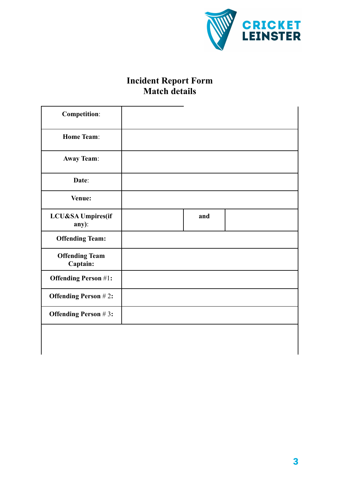

## **Incident Report Form Match details**

| <b>Competition:</b>               |     |  |
|-----------------------------------|-----|--|
| <b>Home Team:</b>                 |     |  |
| <b>Away Team:</b>                 |     |  |
| Date:                             |     |  |
| Venue:                            |     |  |
| LCU&SA Umpires(if<br>any):        | and |  |
| <b>Offending Team:</b>            |     |  |
| <b>Offending Team</b><br>Captain: |     |  |
| <b>Offending Person #1:</b>       |     |  |
| <b>Offending Person #2:</b>       |     |  |
| <b>Offending Person #3:</b>       |     |  |
|                                   |     |  |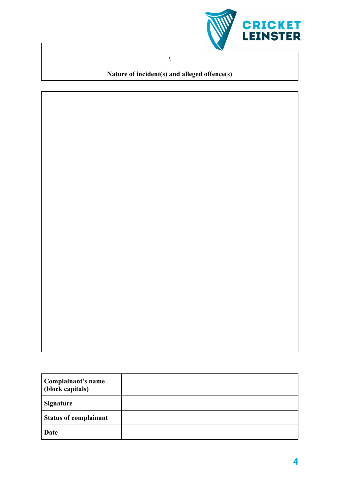

# **Nature of incident(s) and alleged offence(s)**

| Complainant's name<br>(block capitals) |  |
|----------------------------------------|--|
| <b>Signature</b>                       |  |
| <b>Status of complainant</b>           |  |
| Date                                   |  |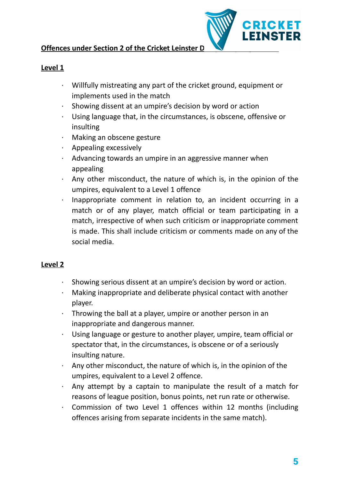#### **Offences under Section 2 of the Cricket Leinster D**



#### **Level 1**

- · Willfully mistreating any part of the cricket ground, equipment or implements used in the match
- Showing dissent at an umpire's decision by word or action
- Using language that, in the circumstances, is obscene, offensive or insulting
- · Making an obscene gesture
- · Appealing excessively
- Advancing towards an umpire in an aggressive manner when appealing
- Any other misconduct, the nature of which is, in the opinion of the umpires, equivalent to a Level 1 offence
- · Inappropriate comment in relation to, an incident occurring in a match or of any player, match official or team participating in a match, irrespective of when such criticism or inappropriate comment is made. This shall include criticism or comments made on any of the social media.

#### **Level 2**

- Showing serious dissent at an umpire's decision by word or action.
- · Making inappropriate and deliberate physical contact with another player.
- Throwing the ball at a player, umpire or another person in an inappropriate and dangerous manner.
- · Using language or gesture to another player, umpire, team official or spectator that, in the circumstances, is obscene or of a seriously insulting nature.
- Any other misconduct, the nature of which is, in the opinion of the umpires, equivalent to a Level 2 offence.
- Any attempt by a captain to manipulate the result of a match for reasons of league position, bonus points, net run rate or otherwise.
- Commission of two Level 1 offences within 12 months (including offences arising from separate incidents in the same match).